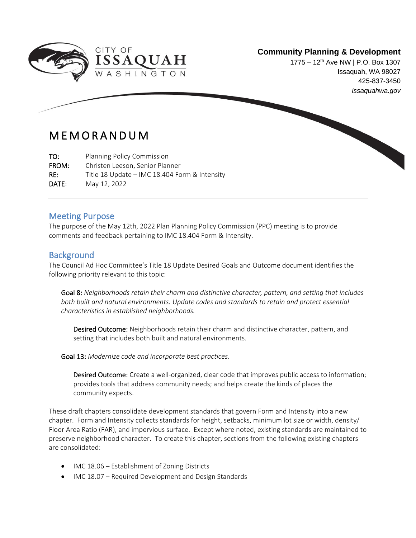

#### **Community Planning & Development**

1775 – 12<sup>th</sup> Ave NW | P.O. Box 1307 Issaquah, WA 98027 425-837-3450 *issaquahwa.gov*

## M E M O R A N D U M

TO: Planning Policy Commission FROM: Christen Leeson, Senior Planner RE: Title 18 Update – IMC 18.404 Form & Intensity DATE: May 12, 2022

#### Meeting Purpose

The purpose of the May 12th, 2022 Plan Planning Policy Commission (PPC) meeting is to provide comments and feedback pertaining to IMC 18.404 Form & Intensity.

#### **Background**

ł

The Council Ad Hoc Committee's Title 18 Update Desired Goals and Outcome document identifies the following priority relevant to this topic:

Goal 8: *Neighborhoods retain their charm and distinctive character, pattern, and setting that includes both built and natural environments. Update codes and standards to retain and protect essential characteristics in established neighborhoods.* 

Desired Outcome: Neighborhoods retain their charm and distinctive character, pattern, and setting that includes both built and natural environments.

Goal 13: *Modernize code and incorporate best practices.* 

Desired Outcome: Create a well-organized, clear code that improves public access to information; provides tools that address community needs; and helps create the kinds of places the community expects.

These draft chapters consolidate development standards that govern Form and Intensity into a new chapter. Form and Intensity collects standards for height, setbacks, minimum lot size or width, density/ Floor Area Ratio (FAR), and impervious surface. Except where noted, existing standards are maintained to preserve neighborhood character. To create this chapter, sections from the following existing chapters are consolidated:

- IMC 18.06 Establishment of Zoning Districts
- IMC 18.07 Required Development and Design Standards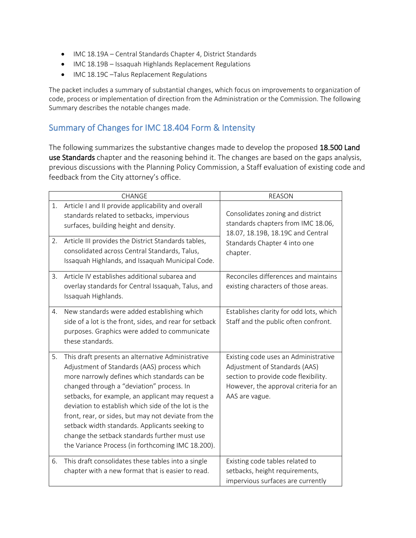- IMC 18.19A Central Standards Chapter 4, District Standards
- IMC 18.19B Issaquah Highlands Replacement Regulations
- IMC 18.19C –Talus Replacement Regulations

The packet includes a summary of substantial changes, which focus on improvements to organization of code, process or implementation of direction from the Administration or the Commission. The following Summary describes the notable changes made.

#### Summary of Changes for IMC 18.404 Form & Intensity

The following summarizes the substantive changes made to develop the proposed 18.500 Land use Standards chapter and the reasoning behind it. The changes are based on the gaps analysis, previous discussions with the Planning Policy Commission, a Staff evaluation of existing code and feedback from the City attorney's office.

|          | CHANGE                                                                                                                                                                                                                                                                                                                                                                                                                                                                                                                   | <b>REASON</b>                                                                                                                                                            |  |  |
|----------|--------------------------------------------------------------------------------------------------------------------------------------------------------------------------------------------------------------------------------------------------------------------------------------------------------------------------------------------------------------------------------------------------------------------------------------------------------------------------------------------------------------------------|--------------------------------------------------------------------------------------------------------------------------------------------------------------------------|--|--|
| 1.<br>2. | Article I and II provide applicability and overall<br>standards related to setbacks, impervious<br>surfaces, building height and density.<br>Article III provides the District Standards tables,                                                                                                                                                                                                                                                                                                                         | Consolidates zoning and district<br>standards chapters from IMC 18.06,<br>18.07, 18.19B, 18.19C and Central                                                              |  |  |
|          | consolidated across Central Standards, Talus,<br>Issaquah Highlands, and Issaquah Municipal Code.                                                                                                                                                                                                                                                                                                                                                                                                                        | Standards Chapter 4 into one<br>chapter.                                                                                                                                 |  |  |
| 3.       | Article IV establishes additional subarea and<br>overlay standards for Central Issaquah, Talus, and<br>Issaquah Highlands.                                                                                                                                                                                                                                                                                                                                                                                               | Reconciles differences and maintains<br>existing characters of those areas.                                                                                              |  |  |
| 4.       | New standards were added establishing which<br>side of a lot is the front, sides, and rear for setback<br>purposes. Graphics were added to communicate<br>these standards.                                                                                                                                                                                                                                                                                                                                               | Establishes clarity for odd lots, which<br>Staff and the public often confront.                                                                                          |  |  |
| 5.       | This draft presents an alternative Administrative<br>Adjustment of Standards (AAS) process which<br>more narrowly defines which standards can be<br>changed through a "deviation" process. In<br>setbacks, for example, an applicant may request a<br>deviation to establish which side of the lot is the<br>front, rear, or sides, but may not deviate from the<br>setback width standards. Applicants seeking to<br>change the setback standards further must use<br>the Variance Process (in forthcoming IMC 18.200). | Existing code uses an Administrative<br>Adjustment of Standards (AAS)<br>section to provide code flexibility.<br>However, the approval criteria for an<br>AAS are vague. |  |  |
| 6.       | This draft consolidates these tables into a single<br>chapter with a new format that is easier to read.                                                                                                                                                                                                                                                                                                                                                                                                                  | Existing code tables related to<br>setbacks, height requirements,<br>impervious surfaces are currently                                                                   |  |  |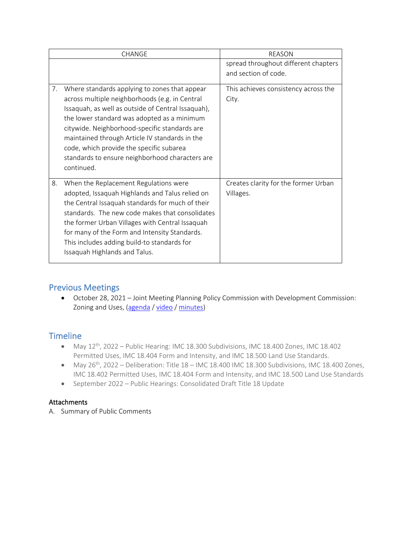| <b>CHANGE</b>                                                                                                                                                                                                                                                                                                                                                                                                              | <b>REASON</b>                                     |  |  |
|----------------------------------------------------------------------------------------------------------------------------------------------------------------------------------------------------------------------------------------------------------------------------------------------------------------------------------------------------------------------------------------------------------------------------|---------------------------------------------------|--|--|
|                                                                                                                                                                                                                                                                                                                                                                                                                            | spread throughout different chapters              |  |  |
|                                                                                                                                                                                                                                                                                                                                                                                                                            | and section of code.                              |  |  |
| Where standards applying to zones that appear<br>7.<br>across multiple neighborhoods (e.g. in Central<br>Issaquah, as well as outside of Central Issaquah),<br>the lower standard was adopted as a minimum<br>citywide. Neighborhood-specific standards are<br>maintained through Article IV standards in the<br>code, which provide the specific subarea<br>standards to ensure neighborhood characters are<br>continued. | This achieves consistency across the<br>City.     |  |  |
| 8.<br>When the Replacement Regulations were<br>adopted, Issaquah Highlands and Talus relied on<br>the Central Issaquah standards for much of their<br>standards. The new code makes that consolidates<br>the former Urban Villages with Central Issaquah<br>for many of the Form and Intensity Standards.<br>This includes adding build-to standards for<br>Issaquah Highlands and Talus.                                  | Creates clarity for the former Urban<br>Villages. |  |  |

### Previous Meetings

• October 28, 2021 – Joint Meeting Planning Policy Commission with Development Commission: Zoning and Uses, [\(agenda](https://issaquah.civicweb.net/document/146907?printPdf=true) / [video](https://youtu.be/fWy0JlRvJXc) / [minutes\)](https://issaquah.civicweb.net/document/148581)

#### Timeline

- May  $12^{th}$ , 2022 Public Hearing: IMC 18.300 Subdivisions, IMC 18.400 Zones, IMC 18.402 Permitted Uses, IMC 18.404 Form and Intensity, and IMC 18.500 Land Use Standards.
- May 26<sup>th</sup>, 2022 Deliberation: Title 18 IMC 18.400 IMC 18.300 Subdivisions, IMC 18.400 Zones, IMC 18.402 Permitted Uses, IMC 18.404 Form and Intensity, and IMC 18.500 Land Use Standards
- September 2022 Public Hearings: Consolidated Draft Title 18 Update

#### Attachments

A. Summary of Public Comments